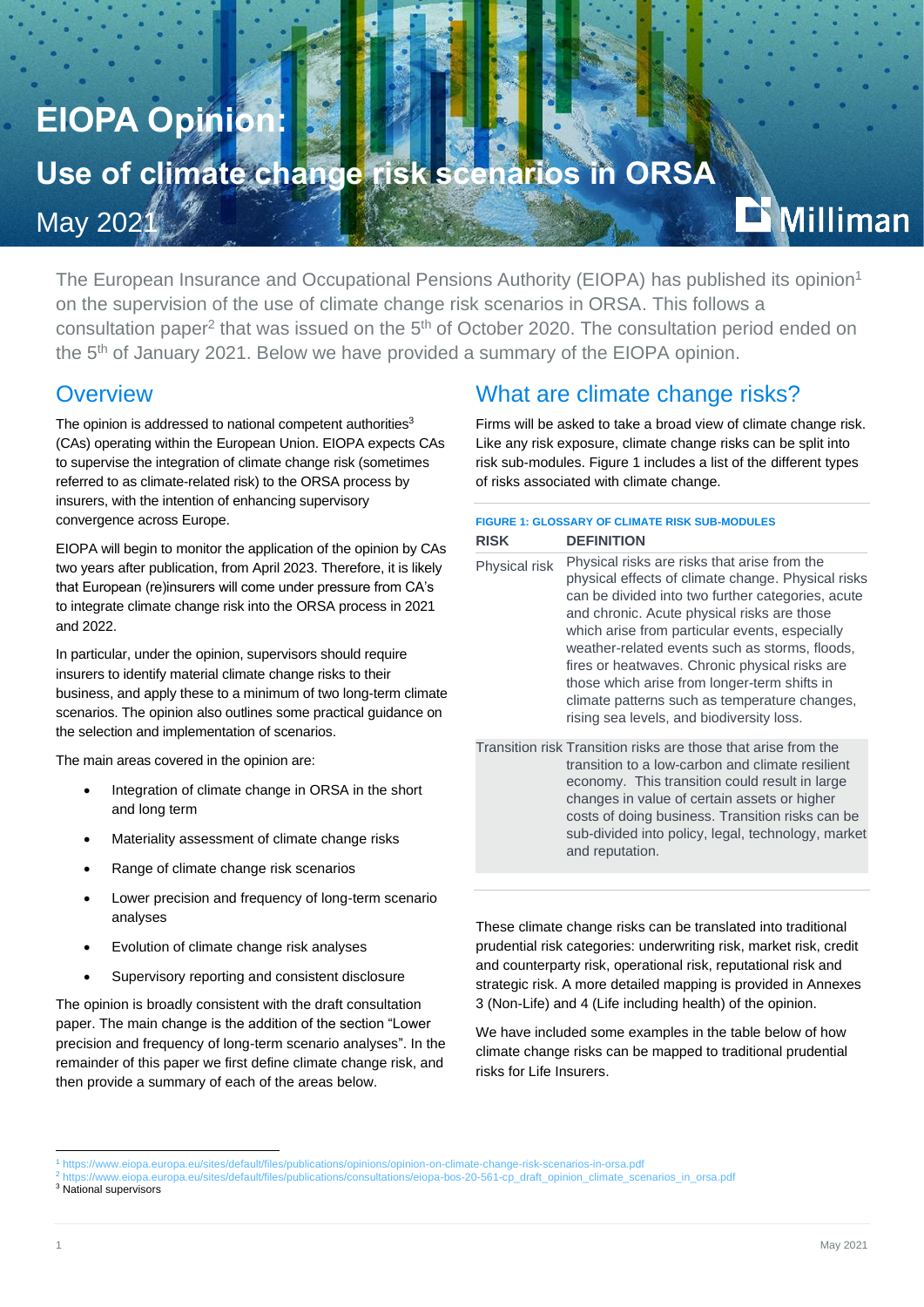# **EIOPA Opinion:**

# Use of climate change risk scenarios in ORSA<br>Marcosal Marco

May 202<sup>1</sup>

The European Insurance and Occupational Pensions Authority (EIOPA) has published its opinion<sup>1</sup> on the supervision of the use of climate change risk scenarios in ORSA. This follows a consultation paper<sup>2</sup> that was issued on the 5<sup>th</sup> of October 2020. The consultation period ended on the 5<sup>th</sup> of January 2021. Below we have provided a summary of the EIOPA opinion.

#### **Overview**

The opinion is addressed to national competent authorities<sup>3</sup> (CAs) operating within the European Union. EIOPA expects CAs to supervise the integration of climate change risk (sometimes referred to as climate-related risk) to the ORSA process by insurers, with the intention of enhancing supervisory convergence across Europe.

EIOPA will begin to monitor the application of the opinion by CAs two years after publication, from April 2023. Therefore, it is likely that European (re)insurers will come under pressure from CA's to integrate climate change risk into the ORSA process in 2021 and 2022.

In particular, under the opinion, supervisors should require insurers to identify material climate change risks to their business, and apply these to a minimum of two long-term climate scenarios. The opinion also outlines some practical guidance on the selection and implementation of scenarios.

The main areas covered in the opinion are:

- Integration of climate change in ORSA in the short and long term
- Materiality assessment of climate change risks
- Range of climate change risk scenarios
- Lower precision and frequency of long-term scenario analyses
- Evolution of climate change risk analyses
- Supervisory reporting and consistent disclosure

The opinion is broadly consistent with the draft consultation paper. The main change is the addition of the section "Lower precision and frequency of long-term scenario analyses". In the remainder of this paper we first define climate change risk, and then provide a summary of each of the areas below.

#### What are climate change risks?

Firms will be asked to take a broad view of climate change risk. Like any risk exposure, climate change risks can be split into risk sub-modules. Figure 1 includes a list of the different types of risks associated with climate change.

#### **FIGURE 1: GLOSSARY OF CLIMATE RISK SUB-MODULES RISK DEFINITION**

| Physical risk | Physical risks are risks that arise from the<br>physical effects of climate change. Physical risks<br>can be divided into two further categories, acute<br>and chronic. Acute physical risks are those<br>which arise from particular events, especially<br>weather-related events such as storms, floods,<br>fires or heatwaves. Chronic physical risks are<br>those which arise from longer-term shifts in<br>climate patterns such as temperature changes,<br>rising sea levels, and biodiversity loss. |
|---------------|------------------------------------------------------------------------------------------------------------------------------------------------------------------------------------------------------------------------------------------------------------------------------------------------------------------------------------------------------------------------------------------------------------------------------------------------------------------------------------------------------------|
|               |                                                                                                                                                                                                                                                                                                                                                                                                                                                                                                            |

Transition risk Transition risks are those that arise from the transition to a low-carbon and climate resilient economy. This transition could result in large changes in value of certain assets or higher costs of doing business. Transition risks can be sub-divided into policy, legal, technology, market and reputation.

These climate change risks can be translated into traditional prudential risk categories: underwriting risk, market risk, credit and counterparty risk, operational risk, reputational risk and strategic risk. A more detailed mapping is provided in Annexes 3 (Non-Life) and 4 (Life including health) of the opinion.

We have included some examples in the table below of how climate change risks can be mapped to traditional prudential risks for Life Insurers.

**Milliman** 

<sup>1</sup> <https://www.eiopa.europa.eu/sites/default/files/publications/opinions/opinion-on-climate-change-risk-scenarios-in-orsa.pdf>

<sup>2</sup> [https://www.eiopa.europa.eu/sites/default/files/publications/consultations/eiopa-bos-20-561-cp\\_draft\\_opinion\\_climate\\_scenarios\\_in\\_orsa.pdf](https://www.eiopa.europa.eu/sites/default/files/publications/consultations/eiopa-bos-20-561-cp_draft_opinion_climate_scenarios_in_orsa.pdf)

<sup>&</sup>lt;sup>3</sup> National supervisors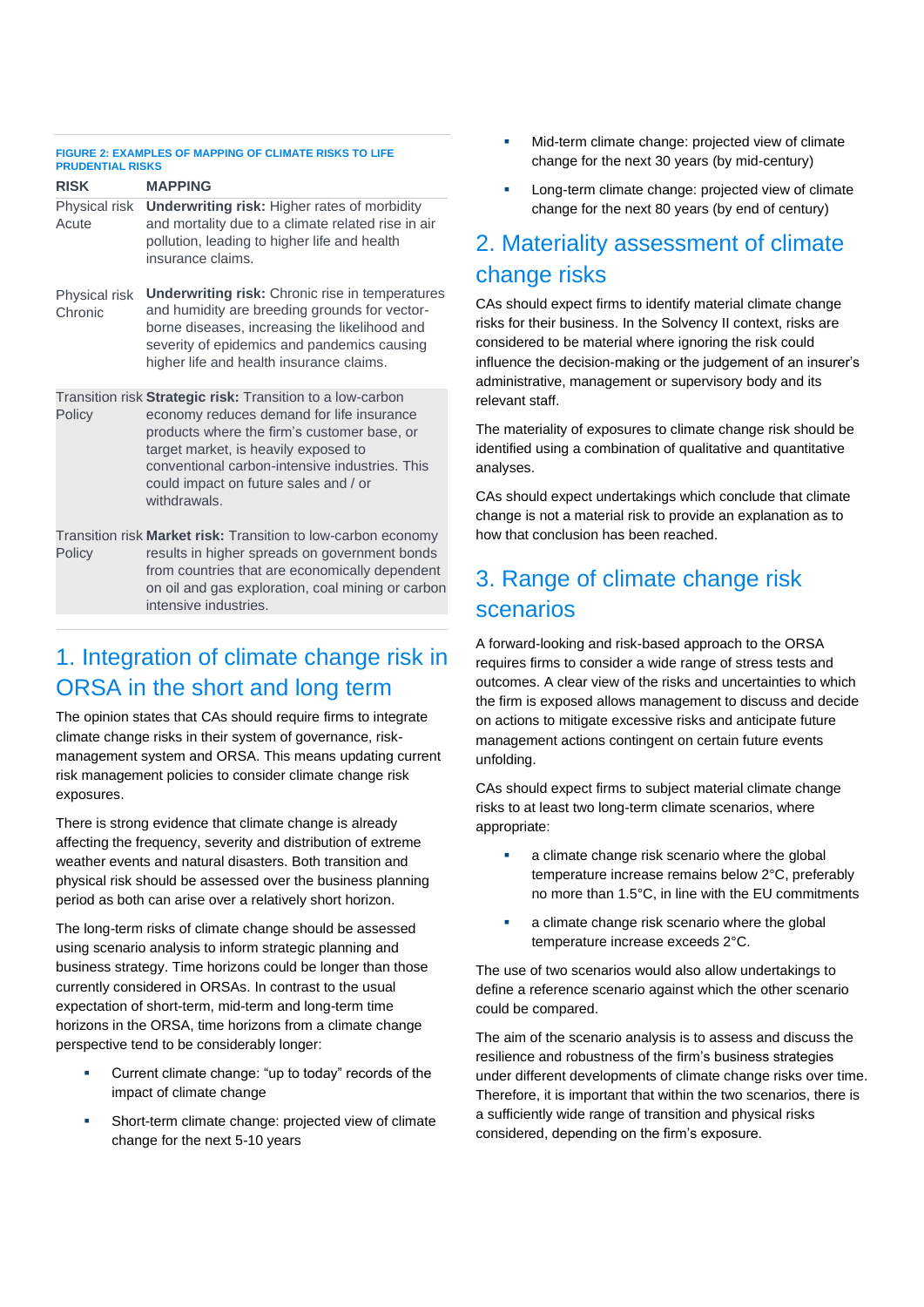#### **FIGURE 2: EXAMPLES OF MAPPING OF CLIMATE RISKS TO LIFE PRUDENTIAL RISKS**

| <b>RISK</b>              | <b>MAPPING</b>                                                                                                                                                                                                                                                                                            |
|--------------------------|-----------------------------------------------------------------------------------------------------------------------------------------------------------------------------------------------------------------------------------------------------------------------------------------------------------|
| Physical risk<br>Acute   | <b>Underwriting risk: Higher rates of morbidity</b><br>and mortality due to a climate related rise in air<br>pollution, leading to higher life and health<br>insurance claims.                                                                                                                            |
| Physical risk<br>Chronic | <b>Underwriting risk:</b> Chronic rise in temperatures<br>and humidity are breeding grounds for vector-<br>borne diseases, increasing the likelihood and<br>severity of epidemics and pandemics causing<br>higher life and health insurance claims.                                                       |
| Policy                   | Transition risk Strategic risk: Transition to a low-carbon<br>economy reduces demand for life insurance<br>products where the firm's customer base, or<br>target market, is heavily exposed to<br>conventional carbon-intensive industries. This<br>could impact on future sales and / or<br>withdrawals. |
| Policy                   | Transition risk Market risk: Transition to low-carbon economy<br>results in higher spreads on government bonds<br>from countries that are economically dependent<br>on oil and gas exploration, coal mining or carbon                                                                                     |

## 1. Integration of climate change risk in

#### ORSA in the short and long term

intensive industries.

The opinion states that CAs should require firms to integrate climate change risks in their system of governance, riskmanagement system and ORSA. This means updating current risk management policies to consider climate change risk exposures.

There is strong evidence that climate change is already affecting the frequency, severity and distribution of extreme weather events and natural disasters. Both transition and physical risk should be assessed over the business planning period as both can arise over a relatively short horizon.

The long-term risks of climate change should be assessed using scenario analysis to inform strategic planning and business strategy. Time horizons could be longer than those currently considered in ORSAs. In contrast to the usual expectation of short-term, mid-term and long-term time horizons in the ORSA, time horizons from a climate change perspective tend to be considerably longer:

- Current climate change: "up to today" records of the impact of climate change
- Short-term climate change: projected view of climate change for the next 5-10 years
- Mid-term climate change: projected view of climate change for the next 30 years (by mid-century)
- Long-term climate change: projected view of climate change for the next 80 years (by end of century)

## 2. Materiality assessment of climate change risks

CAs should expect firms to identify material climate change risks for their business. In the Solvency II context, risks are considered to be material where ignoring the risk could influence the decision-making or the judgement of an insurer's administrative, management or supervisory body and its relevant staff.

The materiality of exposures to climate change risk should be identified using a combination of qualitative and quantitative analyses.

CAs should expect undertakings which conclude that climate change is not a material risk to provide an explanation as to how that conclusion has been reached.

## 3. Range of climate change risk scenarios

A forward-looking and risk-based approach to the ORSA requires firms to consider a wide range of stress tests and outcomes. A clear view of the risks and uncertainties to which the firm is exposed allows management to discuss and decide on actions to mitigate excessive risks and anticipate future management actions contingent on certain future events unfolding.

CAs should expect firms to subject material climate change risks to at least two long-term climate scenarios, where appropriate:

- a climate change risk scenario where the global temperature increase remains below 2°C, preferably no more than 1.5°C, in line with the EU commitments
- a climate change risk scenario where the global temperature increase exceeds 2°C.

The use of two scenarios would also allow undertakings to define a reference scenario against which the other scenario could be compared.

The aim of the scenario analysis is to assess and discuss the resilience and robustness of the firm's business strategies under different developments of climate change risks over time. Therefore, it is important that within the two scenarios, there is a sufficiently wide range of transition and physical risks considered, depending on the firm's exposure.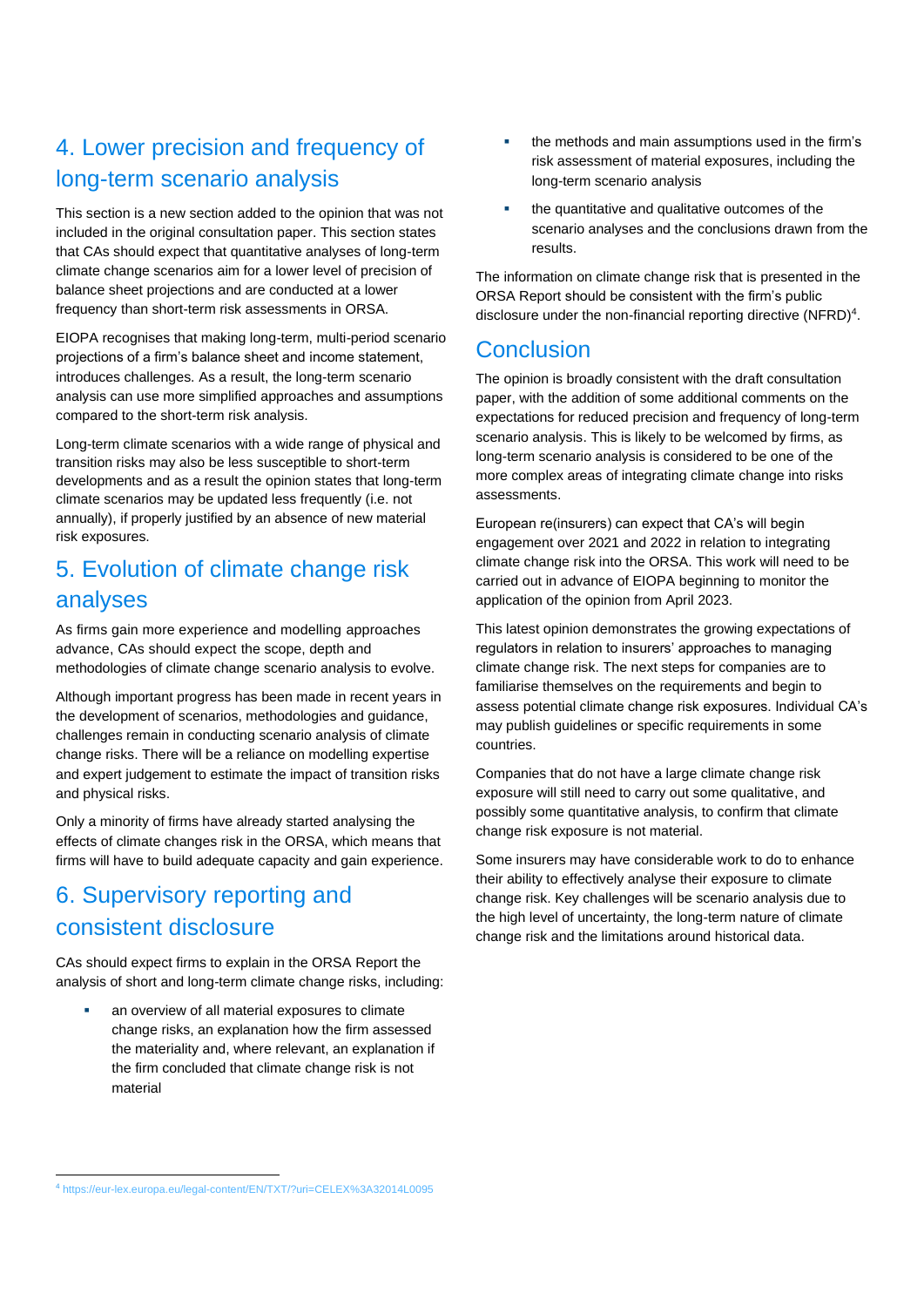### 4. Lower precision and frequency of long-term scenario analysis

This section is a new section added to the opinion that was not included in the original consultation paper. This section states that CAs should expect that quantitative analyses of long-term climate change scenarios aim for a lower level of precision of balance sheet projections and are conducted at a lower frequency than short-term risk assessments in ORSA.

EIOPA recognises that making long-term, multi-period scenario projections of a firm's balance sheet and income statement, introduces challenges. As a result, the long-term scenario analysis can use more simplified approaches and assumptions compared to the short-term risk analysis.

Long-term climate scenarios with a wide range of physical and transition risks may also be less susceptible to short-term developments and as a result the opinion states that long-term climate scenarios may be updated less frequently (i.e. not annually), if properly justified by an absence of new material risk exposures.

#### 5. Evolution of climate change risk analyses

As firms gain more experience and modelling approaches advance, CAs should expect the scope, depth and methodologies of climate change scenario analysis to evolve.

Although important progress has been made in recent years in the development of scenarios, methodologies and guidance, challenges remain in conducting scenario analysis of climate change risks. There will be a reliance on modelling expertise and expert judgement to estimate the impact of transition risks and physical risks.

Only a minority of firms have already started analysing the effects of climate changes risk in the ORSA, which means that firms will have to build adequate capacity and gain experience.

#### 6. Supervisory reporting and consistent disclosure

CAs should expect firms to explain in the ORSA Report the analysis of short and long-term climate change risks, including:

an overview of all material exposures to climate change risks, an explanation how the firm assessed the materiality and, where relevant, an explanation if the firm concluded that climate change risk is not material

- the methods and main assumptions used in the firm's risk assessment of material exposures, including the long-term scenario analysis
- the quantitative and qualitative outcomes of the scenario analyses and the conclusions drawn from the results.

The information on climate change risk that is presented in the ORSA Report should be consistent with the firm's public disclosure under the non-financial reporting directive (NFRD)<sup>4</sup>.

#### **Conclusion**

The opinion is broadly consistent with the draft consultation paper, with the addition of some additional comments on the expectations for reduced precision and frequency of long-term scenario analysis. This is likely to be welcomed by firms, as long-term scenario analysis is considered to be one of the more complex areas of integrating climate change into risks assessments.

European re(insurers) can expect that CA's will begin engagement over 2021 and 2022 in relation to integrating climate change risk into the ORSA. This work will need to be carried out in advance of EIOPA beginning to monitor the application of the opinion from April 2023.

This latest opinion demonstrates the growing expectations of regulators in relation to insurers' approaches to managing climate change risk. The next steps for companies are to familiarise themselves on the requirements and begin to assess potential climate change risk exposures. Individual CA's may publish guidelines or specific requirements in some countries.

Companies that do not have a large climate change risk exposure will still need to carry out some qualitative, and possibly some quantitative analysis, to confirm that climate change risk exposure is not material.

Some insurers may have considerable work to do to enhance their ability to effectively analyse their exposure to climate change risk. Key challenges will be scenario analysis due to the high level of uncertainty, the long-term nature of climate change risk and the limitations around historical data.

<sup>4</sup> <https://eur-lex.europa.eu/legal-content/EN/TXT/?uri=CELEX%3A32014L0095>